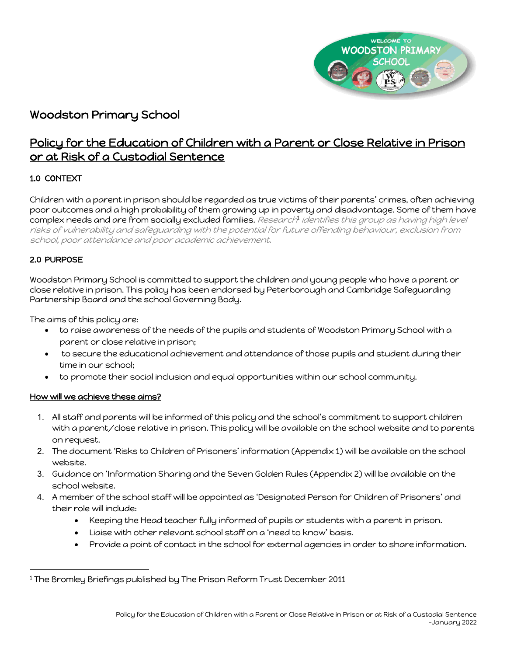

# Woodston Primary School

# Policy for the Education of Children with a Parent or Close Relative in Prison or at Risk of a Custodial Sentence

## 1.0 CONTEXT

Children with a parent in prison should be regarded as true victims of their parents' crimes, often achieving poor outcomes and a high probability of them growing up in poverty and disadvantage. Some of them have complex needs and are from socially excluded families. Research1 identifies this group as having high level risks of vulnerability and safeguarding with the potential for future offending behaviour, exclusion from school, poor attendance and poor academic achievement.

## 2.0 PURPOSE

Woodston Primary School is committed to support the children and young people who have a parent or close relative in prison. This policy has been endorsed by Peterborough and Cambridge Safeguarding Partnership Board and the school Governing Body.

The aims of this policy are:

- to raise awareness of the needs of the pupils and students of Woodston Primary School with a parent or close relative in prison;
- to secure the educational achievement and attendance of those pupils and student during their time in our school;
- to promote their social inclusion and equal opportunities within our school community.

## How will we achieve these aims?

- 1. All staff and parents will be informed of this policy and the school's commitment to support children with a parent/close relative in prison. This policy will be available on the school website and to parents on request.
- 2. The document 'Risks to Children of Prisoners' information (Appendix 1) will be available on the school website.
- 3. Guidance on 'Information Sharing and the Seven Golden Rules (Appendix 2) will be available on the school website.
- 4. A member of the school staff will be appointed as 'Designated Person for Children of Prisoners' and their role will include:
	- Keeping the Head teacher fully informed of pupils or students with a parent in prison.
	- Liaise with other relevant school staff on a 'need to know' basis.
	- Provide a point of contact in the school for external agencies in order to share information.

<sup>1</sup> The Bromley Briefings published by The Prison Reform Trust December 2011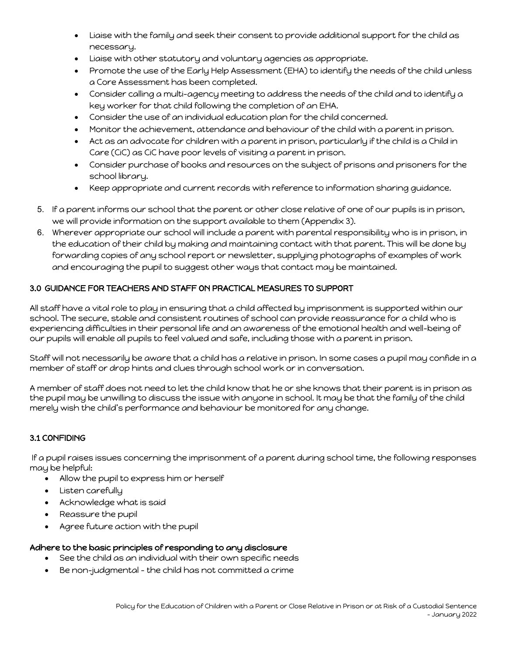- Liaise with the family and seek their consent to provide additional support for the child as necessary.
- Liaise with other statutory and voluntary agencies as appropriate.
- Promote the use of the Early Help Assessment (EHA) to identify the needs of the child unless a Core Assessment has been completed.
- Consider calling a multi-agency meeting to address the needs of the child and to identify a key worker for that child following the completion of an EHA.
- Consider the use of an individual education plan for the child concerned.
- Monitor the achievement, attendance and behaviour of the child with a parent in prison.
- Act as an advocate for children with a parent in prison, particularly if the child is a Child in Care (CiC) as CiC have poor levels of visiting a parent in prison.
- Consider purchase of books and resources on the subject of prisons and prisoners for the school library.
- Keep appropriate and current records with reference to information sharing guidance.
- 5. If a parent informs our school that the parent or other close relative of one of our pupils is in prison, we will provide information on the support available to them (Appendix 3).
- 6. Wherever appropriate our school will include a parent with parental responsibility who is in prison, in the education of their child by making and maintaining contact with that parent. This will be done by forwarding copies of any school report or newsletter, supplying photographs of examples of work and encouraging the pupil to suggest other ways that contact may be maintained.

## 3.0 GUIDANCE FOR TEACHERS AND STAFF ON PRACTICAL MEASURES TO SUPPORT

All staff have a vital role to play in ensuring that a child affected by imprisonment is supported within our school. The secure, stable and consistent routines of school can provide reassurance for a child who is experiencing difficulties in their personal life and an awareness of the emotional health and well-being of our pupils will enable all pupils to feel valued and safe, including those with a parent in prison.

Staff will not necessarily be aware that a child has a relative in prison. In some cases a pupil may confide in a member of staff or drop hints and clues through school work or in conversation.

A member of staff does not need to let the child know that he or she knows that their parent is in prison as the pupil may be unwilling to discuss the issue with anyone in school. It may be that the family of the child merely wish the child's performance and behaviour be monitored for any change.

## 3.1 CONFIDING

If a pupil raises issues concerning the imprisonment of a parent during school time, the following responses may be helpful:

- Allow the pupil to express him or herself
- Listen carefully
- Acknowledge what is said
- Reassure the pupil
- Agree future action with the pupil

### Adhere to the basic principles of responding to any disclosure

- See the child as an individual with their own specific needs
- Be non-judgmental the child has not committed a crime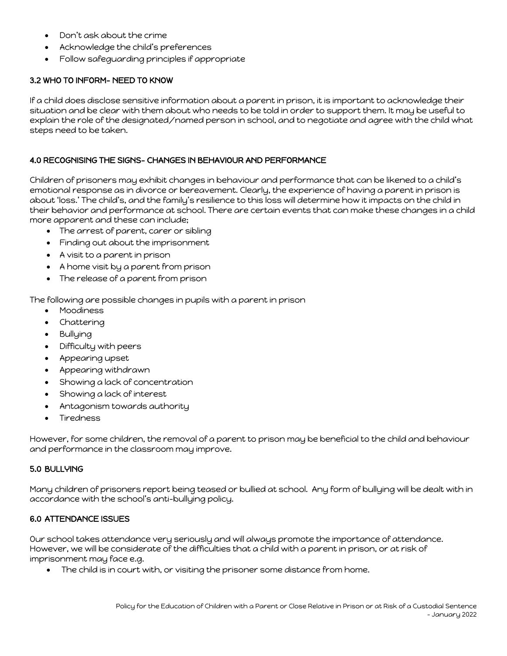- Don't ask about the crime
- Acknowledge the child's preferences
- Follow safeguarding principles if appropriate

## 3.2 WHO TO INFORM- NEED TO KNOW

If a child does disclose sensitive information about a parent in prison, it is important to acknowledge their situation and be clear with them about who needs to be told in order to support them. It may be useful to explain the role of the designated/named person in school, and to negotiate and agree with the child what steps need to be taken.

## 4.0 RECOGNISING THE SIGNS- CHANGES IN BEHAVIOUR AND PERFORMANCE

Children of prisoners may exhibit changes in behaviour and performance that can be likened to a child's emotional response as in divorce or bereavement. Clearly, the experience of having a parent in prison is about 'loss.' The child's, and the family's resilience to this loss will determine how it impacts on the child in their behavior and performance at school. There are certain events that can make these changes in a child more apparent and these can include;

- The arrest of parent, carer or sibling
- Finding out about the imprisonment
- A visit to a parent in prison
- A home visit by a parent from prison
- The release of a parent from prison

The following are possible changes in pupils with a parent in prison

- Moodiness
- **Chattering**
- Bullying
- Difficulty with peers
- Appearing upset
- Appearing withdrawn
- Showing a lack of concentration
- Showing a lack of interest
- Antagonism towards authority
- Tiredness

However, for some children, the removal of a parent to prison may be beneficial to the child and behaviour and performance in the classroom may improve.

### 5.0 BULLYING

Many children of prisoners report being teased or bullied at school. Any form of bullying will be dealt with in accordance with the school's anti-bullying policy.

### 6.0 ATTENDANCE ISSUES

Our school takes attendance very seriously and will always promote the importance of attendance. However, we will be considerate of the difficulties that a child with a parent in prison, or at risk of imprisonment may face e.g.

• The child is in court with, or visiting the prisoner some distance from home.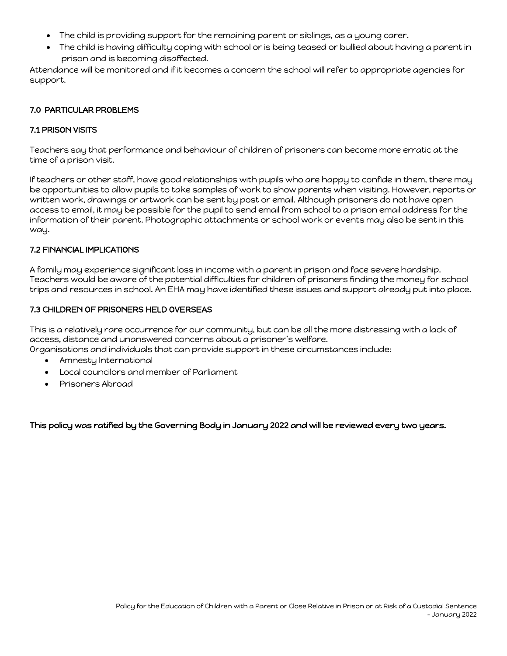- The child is providing support for the remaining parent or siblings, as a young carer.
- The child is having difficulty coping with school or is being teased or bullied about having a parent in prison and is becoming disaffected.

Attendance will be monitored and if it becomes a concern the school will refer to appropriate agencies for support.

## 7.0 PARTICULAR PROBLEMS

## 7.1 PRISON VISITS

Teachers say that performance and behaviour of children of prisoners can become more erratic at the time of a prison visit.

If teachers or other staff, have good relationships with pupils who are happy to confide in them, there may be opportunities to allow pupils to take samples of work to show parents when visiting. However, reports or written work, drawings or artwork can be sent by post or email. Although prisoners do not have open access to email, it may be possible for the pupil to send email from school to a prison email address for the information of their parent. Photographic attachments or school work or events may also be sent in this way.

#### 7.2 FINANCIAL IMPLICATIONS

A family may experience significant loss in income with a parent in prison and face severe hardship. Teachers would be aware of the potential difficulties for children of prisoners finding the money for school trips and resources in school. An EHA may have identified these issues and support already put into place.

#### 7.3 CHILDREN OF PRISONERS HELD OVERSEAS

This is a relatively rare occurrence for our community, but can be all the more distressing with a lack of access, distance and unanswered concerns about a prisoner's welfare.

Organisations and individuals that can provide support in these circumstances include:

- Amnesty International
- Local councilors and member of Parliament
- Prisoners Abroad

This policy was ratified by the Governing Body in January 2022 and will be reviewed every two years.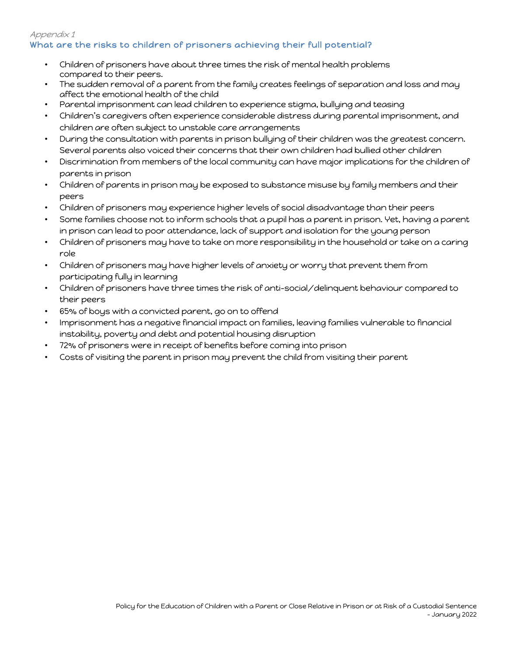## Appendix 1 What are the risks to children of prisoners achieving their full potential?

- Children of prisoners have about three times the risk of mental health problems compared to their peers.
- The sudden removal of a parent from the family creates feelings of separation and loss and may affect the emotional health of the child
- Parental imprisonment can lead children to experience stigma, bullying and teasing
- Children's caregivers often experience considerable distress during parental imprisonment, and children are often subject to unstable care arrangements
- During the consultation with parents in prison bullying of their children was the greatest concern. Several parents also voiced their concerns that their own children had bullied other children
- Discrimination from members of the local community can have major implications for the children of parents in prison
- Children of parents in prison may be exposed to substance misuse by family members and their peers
- Children of prisoners may experience higher levels of social disadvantage than their peers
- Some families choose not to inform schools that a pupil has a parent in prison. Yet, having a parent in prison can lead to poor attendance, lack of support and isolation for the young person
- Children of prisoners may have to take on more responsibility in the household or take on a caring role
- Children of prisoners may have higher levels of anxiety or worry that prevent them from participating fully in learning
- Children of prisoners have three times the risk of anti-social/delinquent behaviour compared to their peers
- 65% of boys with a convicted parent, go on to offend
- Imprisonment has a negative financial impact on families, leaving families vulnerable to financial instability, poverty and debt and potential housing disruption
- 72% of prisoners were in receipt of benefits before coming into prison
- Costs of visiting the parent in prison may prevent the child from visiting their parent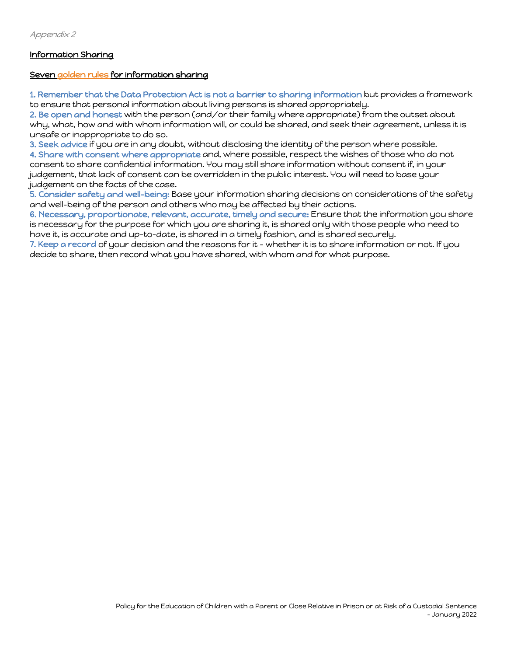## Information Sharing

#### Seven golden rules for information sharing

1. Remember that the Data Protection Act is not a barrier to sharing information but provides a framework to ensure that personal information about living persons is shared appropriately.

2. Be open and honest with the person (and/or their family where appropriate) from the outset about why, what, how and with whom information will, or could be shared, and seek their agreement, unless it is unsafe or inappropriate to do so.

3. Seek advice if you are in any doubt, without disclosing the identity of the person where possible.

4. Share with consent where appropriate and, where possible, respect the wishes of those who do not consent to share confidential information. You may still share information without consent if, in your judgement, that lack of consent can be overridden in the public interest. You will need to base your judgement on the facts of the case.

5. Consider safety and well-being: Base your information sharing decisions on considerations of the safety and well-being of the person and others who may be affected by their actions.

6. Necessary, proportionate, relevant, accurate, timely and secure: Ensure that the information you share is necessary for the purpose for which you are sharing it, is shared only with those people who need to have it, is accurate and up-to-date, is shared in a timely fashion, and is shared securely.

7. Keep a record of your decision and the reasons for it – whether it is to share information or not. If you decide to share, then record what you have shared, with whom and for what purpose.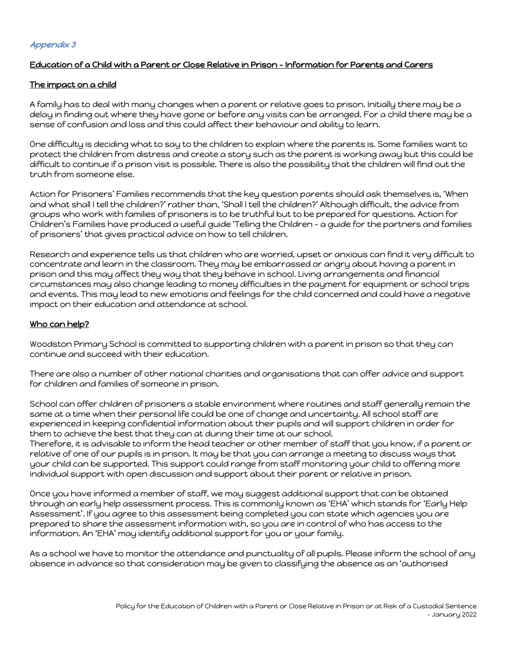## Education of a Child with a Parent or Close Relative in Prison – Information for Parents and Carers

### The impact on a child

A family has to deal with many changes when a parent or relative goes to prison. Initially there may be a delay in finding out where they have gone or before any visits can be arranged. For a child there may be a sense of confusion and loss and this could affect their behaviour and ability to learn.

One difficulty is deciding what to say to the children to explain where the parents is. Some families want to protect the children from distress and create a story such as the parent is working away but this could be difficult to continue if a prison visit is possible. There is also the possibility that the children will find out the truth from someone else.

Action for Prisoners' Families recommends that the key question parents should ask themselves is, 'When and what shall I tell the children?' rather than, 'Shall I tell the children?' Although difficult, the advice from groups who work with families of prisoners is to be truthful but to be prepared for questions. Action for Children's Families have produced a useful guide 'Telling the Children – a guide for the partners and families of prisoners' that gives practical advice on how to tell children.

Research and experience tells us that children who are worried, upset or anxious can find it very difficult to concentrate and learn in the classroom. They may be embarrassed or angry about having a parent in prison and this may affect they way that they behave in school. Living arrangements and financial circumstances may also change leading to money difficulties in the payment for equipment or school trips and events. This may lead to new emotions and feelings for the child concerned and could have a negative impact on their education and attendance at school.

## Who can help?

Woodston Primary School is committed to supporting children with a parent in prison so that they can continue and succeed with their education.

There are also a number of other national charities and organisations that can offer advice and support for children and families of someone in prison.

School can offer children of prisoners a stable environment where routines and staff generally remain the same at a time when their personal life could be one of change and uncertainty. All school staff are experienced in keeping confidential information about their pupils and will support children in order for them to achieve the best that they can at during their time at our school.

Therefore, it is advisable to inform the head teacher or other member of staff that you know, if a parent or relative of one of our pupils is in prison. It may be that you can arrange a meeting to discuss ways that your child can be supported. This support could range from staff monitoring your child to offering more individual support with open discussion and support about their parent or relative in prison.

Once you have informed a member of staff, we may suggest additional support that can be obtained through an early help assessment process. This is commonly known as 'EHA' which stands for 'Early Help Assessment'. If you agree to this assessment being completed you can state which agencies you are prepared to share the assessment information with, so you are in control of who has access to the information. An 'EHA' may identify additional support for you or your family.

As a school we have to monitor the attendance and punctuality of all pupils. Please inform the school of any absence in advance so that consideration may be given to classifying the absence as an 'authorised